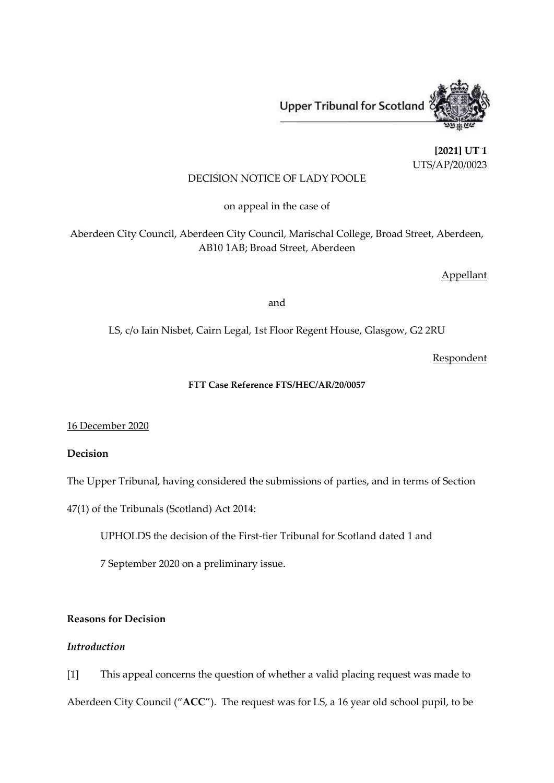Upper Tribunal for Scotland

**[2021] UT 1** UTS/AP/20/0023

## DECISION NOTICE OF LADY POOLE

on appeal in the case of

Aberdeen City Council, Aberdeen City Council, Marischal College, Broad Street, Aberdeen, AB10 1AB; Broad Street, Aberdeen

Appellant

and

LS, c/o Iain Nisbet, Cairn Legal, 1st Floor Regent House, Glasgow, G2 2RU

Respondent

## **FTT Case Reference FTS/HEC/AR/20/0057**

16 December 2020

**Decision**

The Upper Tribunal, having considered the submissions of parties, and in terms of Section

47(1) of the Tribunals (Scotland) Act 2014:

UPHOLDS the decision of the First-tier Tribunal for Scotland dated 1 and

7 September 2020 on a preliminary issue.

# **Reasons for Decision**

## *Introduction*

[1] This appeal concerns the question of whether a valid placing request was made to Aberdeen City Council ("**ACC**"). The request was for LS, a 16 year old school pupil, to be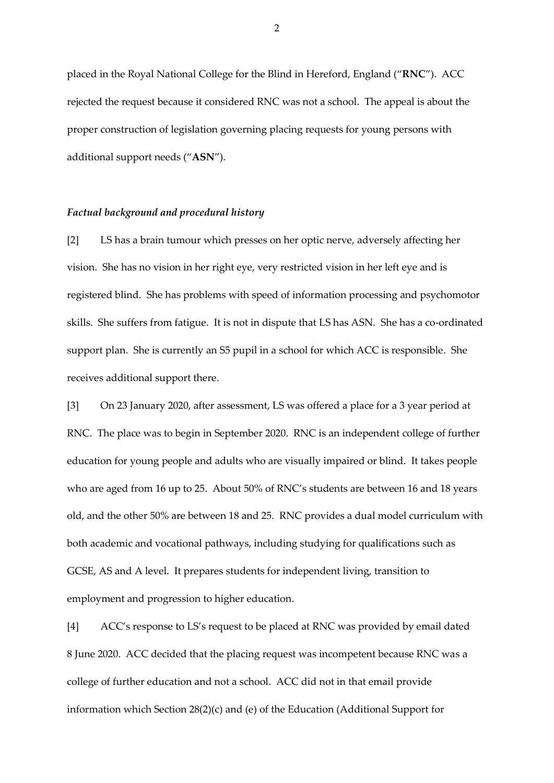placed in the Royal National College for the Blind in Hereford, England ("**RNC**"). ACC rejected the request because it considered RNC was not a school. The appeal is about the proper construction of legislation governing placing requests for young persons with additional support needs ("**ASN**").

## *Factual background and procedural history*

[2] LS has a brain tumour which presses on her optic nerve, adversely affecting her vision. She has no vision in her right eye, very restricted vision in her left eye and is registered blind. She has problems with speed of information processing and psychomotor skills. She suffers from fatigue. It is not in dispute that LS has ASN. She has a co-ordinated support plan. She is currently an S5 pupil in a school for which ACC is responsible. She receives additional support there.

[3] On 23 January 2020, after assessment, LS was offered a place for a 3 year period at RNC. The place was to begin in September 2020. RNC is an independent college of further education for young people and adults who are visually impaired or blind. It takes people who are aged from 16 up to 25. About 50% of RNC's students are between 16 and 18 years old, and the other 50% are between 18 and 25. RNC provides a dual model curriculum with both academic and vocational pathways, including studying for qualifications such as GCSE, AS and A level. It prepares students for independent living, transition to employment and progression to higher education.

[4] ACC's response to LS's request to be placed at RNC was provided by email dated 8 June 2020. ACC decided that the placing request was incompetent because RNC was a college of further education and not a school. ACC did not in that email provide information which Section 28(2)(c) and (e) of the Education (Additional Support for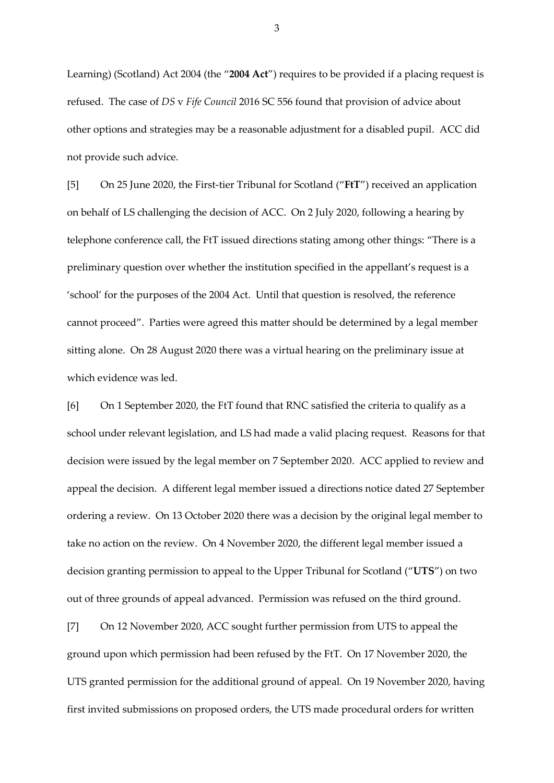Learning) (Scotland) Act 2004 (the "**2004 Act**") requires to be provided if a placing request is refused. The case of *DS* v *Fife Council* 2016 SC 556 found that provision of advice about other options and strategies may be a reasonable adjustment for a disabled pupil. ACC did not provide such advice.

[5] On 25 June 2020, the First-tier Tribunal for Scotland ("**FtT**") received an application on behalf of LS challenging the decision of ACC. On 2 July 2020, following a hearing by telephone conference call, the FtT issued directions stating among other things: "There is a preliminary question over whether the institution specified in the appellant's request is a 'school' for the purposes of the 2004 Act. Until that question is resolved, the reference cannot proceed". Parties were agreed this matter should be determined by a legal member sitting alone. On 28 August 2020 there was a virtual hearing on the preliminary issue at which evidence was led.

[6] On 1 September 2020, the FtT found that RNC satisfied the criteria to qualify as a school under relevant legislation, and LS had made a valid placing request. Reasons for that decision were issued by the legal member on 7 September 2020. ACC applied to review and appeal the decision. A different legal member issued a directions notice dated 27 September ordering a review. On 13 October 2020 there was a decision by the original legal member to take no action on the review. On 4 November 2020, the different legal member issued a decision granting permission to appeal to the Upper Tribunal for Scotland ("**UTS**") on two out of three grounds of appeal advanced. Permission was refused on the third ground.

[7] On 12 November 2020, ACC sought further permission from UTS to appeal the ground upon which permission had been refused by the FtT. On 17 November 2020, the UTS granted permission for the additional ground of appeal. On 19 November 2020, having first invited submissions on proposed orders, the UTS made procedural orders for written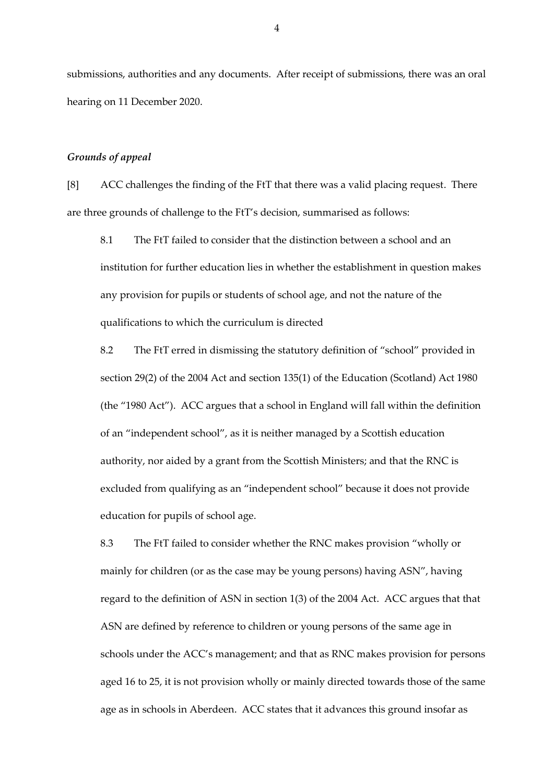submissions, authorities and any documents. After receipt of submissions, there was an oral hearing on 11 December 2020.

## *Grounds of appeal*

[8] ACC challenges the finding of the FtT that there was a valid placing request. There are three grounds of challenge to the FtT's decision, summarised as follows:

8.1 The FtT failed to consider that the distinction between a school and an institution for further education lies in whether the establishment in question makes any provision for pupils or students of school age, and not the nature of the qualifications to which the curriculum is directed

8.2 The FtT erred in dismissing the statutory definition of "school" provided in section 29(2) of the 2004 Act and section 135(1) of the Education (Scotland) Act 1980 (the "1980 Act"). ACC argues that a school in England will fall within the definition of an "independent school", as it is neither managed by a Scottish education authority, nor aided by a grant from the Scottish Ministers; and that the RNC is excluded from qualifying as an "independent school" because it does not provide education for pupils of school age.

8.3 The FtT failed to consider whether the RNC makes provision "wholly or mainly for children (or as the case may be young persons) having ASN", having regard to the definition of ASN in section 1(3) of the 2004 Act. ACC argues that that ASN are defined by reference to children or young persons of the same age in schools under the ACC's management; and that as RNC makes provision for persons aged 16 to 25, it is not provision wholly or mainly directed towards those of the same age as in schools in Aberdeen. ACC states that it advances this ground insofar as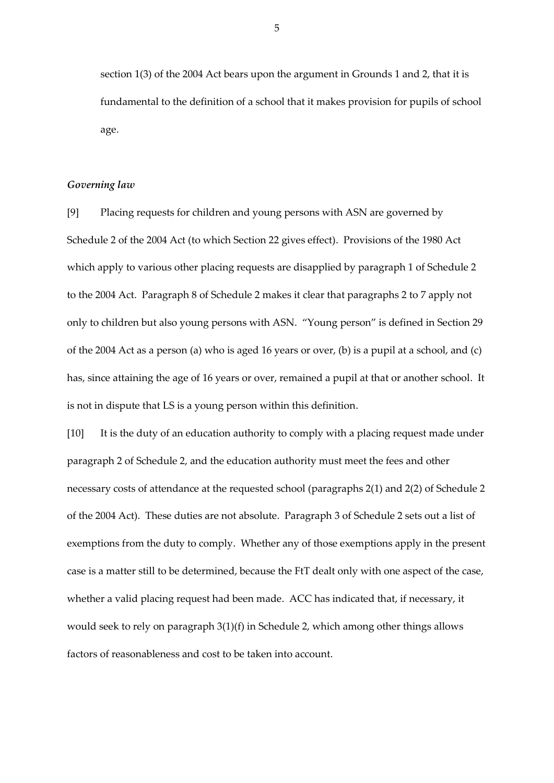section 1(3) of the 2004 Act bears upon the argument in Grounds 1 and 2, that it is fundamental to the definition of a school that it makes provision for pupils of school age.

#### *Governing law*

[9] Placing requests for children and young persons with ASN are governed by Schedule 2 of the 2004 Act (to which Section 22 gives effect). Provisions of the 1980 Act which apply to various other placing requests are disapplied by paragraph 1 of Schedule 2 to the 2004 Act. Paragraph 8 of Schedule 2 makes it clear that paragraphs 2 to 7 apply not only to children but also young persons with ASN. "Young person" is defined in Section 29 of the 2004 Act as a person (a) who is aged 16 years or over, (b) is a pupil at a school, and (c) has, since attaining the age of 16 years or over, remained a pupil at that or another school. It is not in dispute that LS is a young person within this definition.

[10] It is the duty of an education authority to comply with a placing request made under paragraph 2 of Schedule 2, and the education authority must meet the fees and other necessary costs of attendance at the requested school (paragraphs 2(1) and 2(2) of Schedule 2 of the 2004 Act). These duties are not absolute. Paragraph 3 of Schedule 2 sets out a list of exemptions from the duty to comply. Whether any of those exemptions apply in the present case is a matter still to be determined, because the FtT dealt only with one aspect of the case, whether a valid placing request had been made. ACC has indicated that, if necessary, it would seek to rely on paragraph 3(1)(f) in Schedule 2, which among other things allows factors of reasonableness and cost to be taken into account.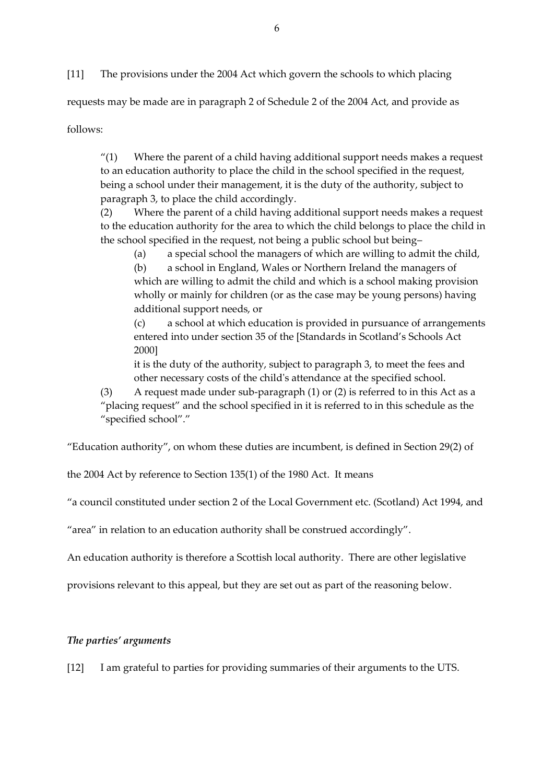[11] The provisions under the 2004 Act which govern the schools to which placing

requests may be made are in paragraph 2 of Schedule 2 of the 2004 Act, and provide as

follows:

" $(1)$  Where the parent of a child having additional support needs makes a request to an education authority to place the child in the school specified in the request, being a school under their management, it is the duty of the authority, subject to paragraph 3, to place the child accordingly.

(2) Where the parent of a child having additional support needs makes a request to the education authority for the area to which the child belongs to place the child in the school specified in the request, not being a public school but being–

(a) a special school the managers of which are willing to admit the child, (b) a school in England, Wales or Northern Ireland the managers of which are willing to admit the child and which is a school making provision wholly or mainly for children (or as the case may be young persons) having additional support needs, or

(c) a school at which education is provided in pursuance of arrangements entered into under section 35 of the [Standards in Scotland's Schools Act 2000]

it is the duty of the authority, subject to paragraph 3, to meet the fees and other necessary costs of the child's attendance at the specified school.

(3) A request made under sub-paragraph (1) or (2) is referred to in this Act as a "placing request" and the school specified in it is referred to in this schedule as the "specified school"."

"Education authority", on whom these duties are incumbent, is defined in Section 29(2) of

the 2004 Act by reference to Section 135(1) of the 1980 Act. It means

"a council constituted under section 2 of the Local Government etc. (Scotland) Act 1994, and

"area" in relation to an education authority shall be construed accordingly".

An education authority is therefore a Scottish local authority. There are other legislative

provisions relevant to this appeal, but they are set out as part of the reasoning below.

# *The parties' arguments*

[12] I am grateful to parties for providing summaries of their arguments to the UTS.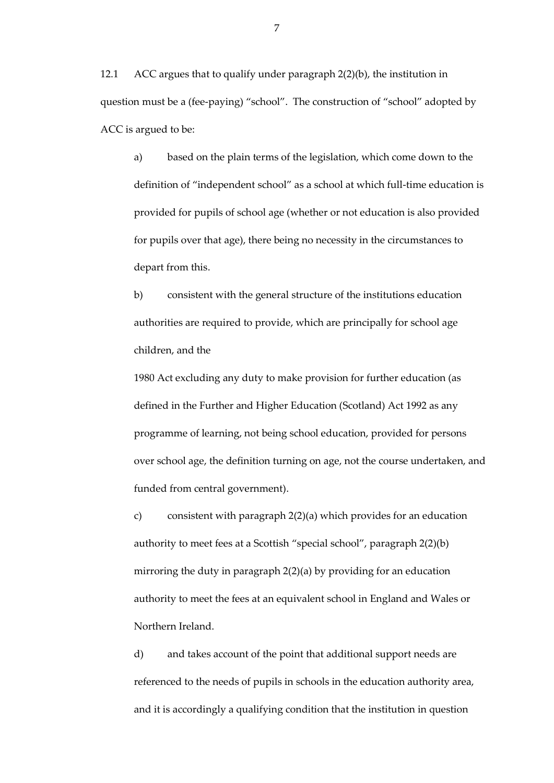12.1 ACC argues that to qualify under paragraph 2(2)(b), the institution in question must be a (fee-paying) "school". The construction of "school" adopted by ACC is argued to be:

a) based on the plain terms of the legislation, which come down to the definition of "independent school" as a school at which full-time education is provided for pupils of school age (whether or not education is also provided for pupils over that age), there being no necessity in the circumstances to depart from this.

b) consistent with the general structure of the institutions education authorities are required to provide, which are principally for school age children, and the

1980 Act excluding any duty to make provision for further education (as defined in the Further and Higher Education (Scotland) Act 1992 as any programme of learning, not being school education, provided for persons over school age, the definition turning on age, not the course undertaken, and funded from central government).

c) consistent with paragraph 2(2)(a) which provides for an education authority to meet fees at a Scottish "special school", paragraph 2(2)(b) mirroring the duty in paragraph 2(2)(a) by providing for an education authority to meet the fees at an equivalent school in England and Wales or Northern Ireland.

d) and takes account of the point that additional support needs are referenced to the needs of pupils in schools in the education authority area, and it is accordingly a qualifying condition that the institution in question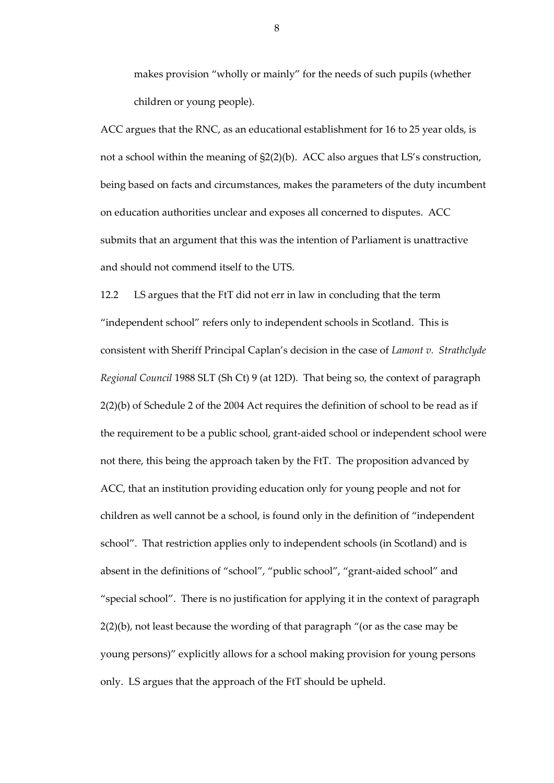makes provision "wholly or mainly" for the needs of such pupils (whether children or young people).

ACC argues that the RNC, as an educational establishment for 16 to 25 year olds, is not a school within the meaning of §2(2)(b). ACC also argues that LS's construction, being based on facts and circumstances, makes the parameters of the duty incumbent on education authorities unclear and exposes all concerned to disputes. ACC submits that an argument that this was the intention of Parliament is unattractive and should not commend itself to the UTS.

12.2 LS argues that the FtT did not err in law in concluding that the term "independent school" refers only to independent schools in Scotland. This is consistent with Sheriff Principal Caplan's decision in the case of *Lamont v. Strathclyde Regional Council* 1988 SLT (Sh Ct) 9 (at 12D). That being so, the context of paragraph 2(2)(b) of Schedule 2 of the 2004 Act requires the definition of school to be read as if the requirement to be a public school, grant-aided school or independent school were not there, this being the approach taken by the FtT. The proposition advanced by ACC, that an institution providing education only for young people and not for children as well cannot be a school, is found only in the definition of "independent school". That restriction applies only to independent schools (in Scotland) and is absent in the definitions of "school", "public school", "grant-aided school" and "special school". There is no justification for applying it in the context of paragraph 2(2)(b), not least because the wording of that paragraph "(or as the case may be young persons)" explicitly allows for a school making provision for young persons only. LS argues that the approach of the FtT should be upheld.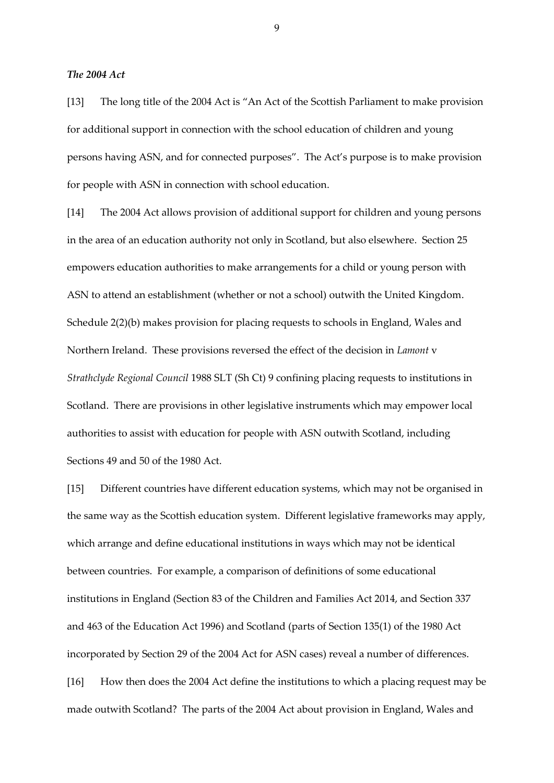## *The 2004 Act*

[13] The long title of the 2004 Act is "An Act of the Scottish Parliament to make provision for additional support in connection with the school education of children and young persons having ASN, and for connected purposes". The Act's purpose is to make provision for people with ASN in connection with school education.

[14] The 2004 Act allows provision of additional support for children and young persons in the area of an education authority not only in Scotland, but also elsewhere. Section 25 empowers education authorities to make arrangements for a child or young person with ASN to attend an establishment (whether or not a school) outwith the United Kingdom. Schedule 2(2)(b) makes provision for placing requests to schools in England, Wales and Northern Ireland. These provisions reversed the effect of the decision in *Lamont* v *Strathclyde Regional Council* 1988 SLT (Sh Ct) 9 confining placing requests to institutions in Scotland. There are provisions in other legislative instruments which may empower local authorities to assist with education for people with ASN outwith Scotland, including Sections 49 and 50 of the 1980 Act.

[15] Different countries have different education systems, which may not be organised in the same way as the Scottish education system. Different legislative frameworks may apply, which arrange and define educational institutions in ways which may not be identical between countries. For example, a comparison of definitions of some educational institutions in England (Section 83 of the Children and Families Act 2014, and Section 337 and 463 of the Education Act 1996) and Scotland (parts of Section 135(1) of the 1980 Act incorporated by Section 29 of the 2004 Act for ASN cases) reveal a number of differences. [16] How then does the 2004 Act define the institutions to which a placing request may be made outwith Scotland? The parts of the 2004 Act about provision in England, Wales and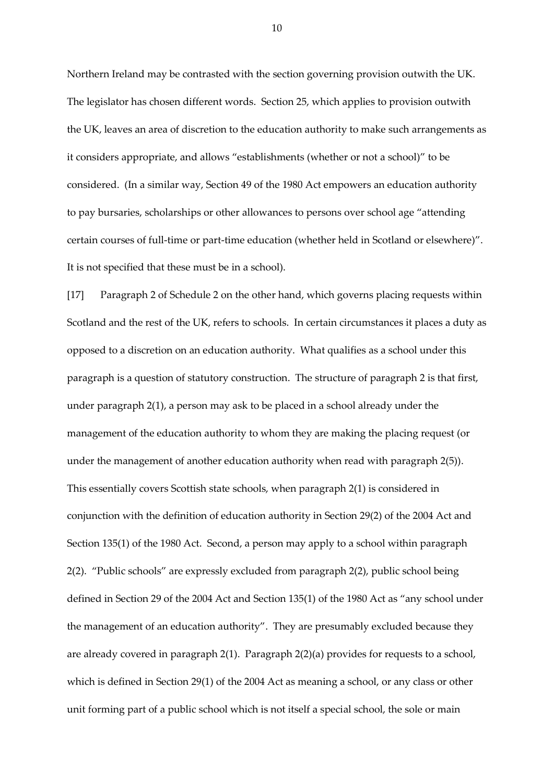Northern Ireland may be contrasted with the section governing provision outwith the UK. The legislator has chosen different words. Section 25, which applies to provision outwith the UK, leaves an area of discretion to the education authority to make such arrangements as it considers appropriate, and allows "establishments (whether or not a school)" to be considered. (In a similar way, Section 49 of the 1980 Act empowers an education authority to pay bursaries, scholarships or other allowances to persons over school age "attending certain courses of full-time or part-time education (whether held in Scotland or elsewhere)". It is not specified that these must be in a school).

[17] Paragraph 2 of Schedule 2 on the other hand, which governs placing requests within Scotland and the rest of the UK, refers to schools. In certain circumstances it places a duty as opposed to a discretion on an education authority. What qualifies as a school under this paragraph is a question of statutory construction. The structure of paragraph 2 is that first, under paragraph 2(1), a person may ask to be placed in a school already under the management of the education authority to whom they are making the placing request (or under the management of another education authority when read with paragraph 2(5)). This essentially covers Scottish state schools, when paragraph 2(1) is considered in conjunction with the definition of education authority in Section 29(2) of the 2004 Act and Section 135(1) of the 1980 Act. Second, a person may apply to a school within paragraph 2(2). "Public schools" are expressly excluded from paragraph 2(2), public school being defined in Section 29 of the 2004 Act and Section 135(1) of the 1980 Act as "any school under the management of an education authority". They are presumably excluded because they are already covered in paragraph 2(1). Paragraph 2(2)(a) provides for requests to a school, which is defined in Section 29(1) of the 2004 Act as meaning a school, or any class or other unit forming part of a public school which is not itself a special school, the sole or main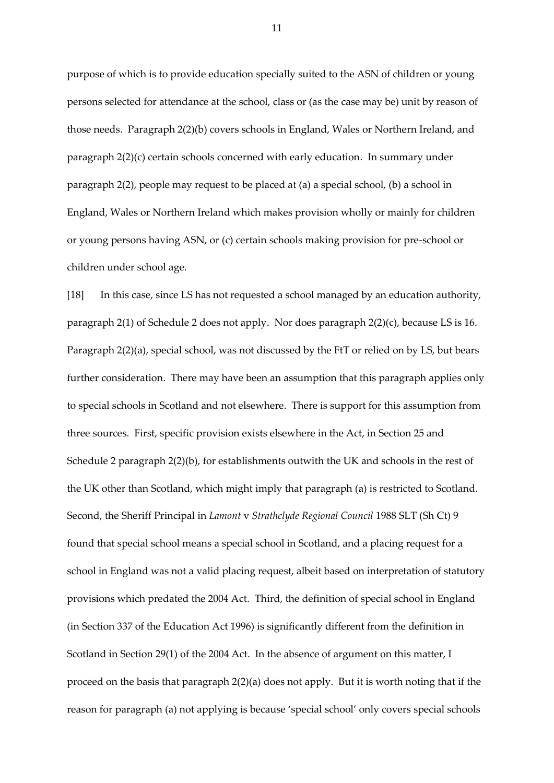purpose of which is to provide education specially suited to the ASN of children or young persons selected for attendance at the school, class or (as the case may be) unit by reason of those needs. Paragraph 2(2)(b) covers schools in England, Wales or Northern Ireland, and paragraph 2(2)(c) certain schools concerned with early education. In summary under paragraph 2(2), people may request to be placed at (a) a special school, (b) a school in England, Wales or Northern Ireland which makes provision wholly or mainly for children or young persons having ASN, or (c) certain schools making provision for pre-school or children under school age.

[18] In this case, since LS has not requested a school managed by an education authority, paragraph 2(1) of Schedule 2 does not apply. Nor does paragraph 2(2)(c), because LS is 16. Paragraph 2(2)(a), special school, was not discussed by the FtT or relied on by LS, but bears further consideration. There may have been an assumption that this paragraph applies only to special schools in Scotland and not elsewhere. There is support for this assumption from three sources. First, specific provision exists elsewhere in the Act, in Section 25 and Schedule 2 paragraph 2(2)(b), for establishments outwith the UK and schools in the rest of the UK other than Scotland, which might imply that paragraph (a) is restricted to Scotland. Second, the Sheriff Principal in *Lamont* v *Strathclyde Regional Council* 1988 SLT (Sh Ct) 9 found that special school means a special school in Scotland, and a placing request for a school in England was not a valid placing request, albeit based on interpretation of statutory provisions which predated the 2004 Act. Third, the definition of special school in England (in Section 337 of the Education Act 1996) is significantly different from the definition in Scotland in Section 29(1) of the 2004 Act. In the absence of argument on this matter, I proceed on the basis that paragraph 2(2)(a) does not apply. But it is worth noting that if the reason for paragraph (a) not applying is because 'special school' only covers special schools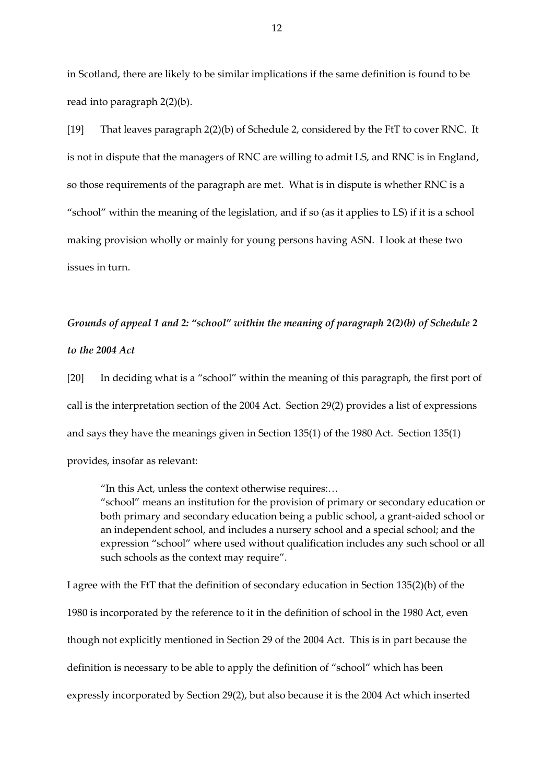in Scotland, there are likely to be similar implications if the same definition is found to be read into paragraph 2(2)(b).

[19] That leaves paragraph 2(2)(b) of Schedule 2, considered by the FtT to cover RNC. It is not in dispute that the managers of RNC are willing to admit LS, and RNC is in England, so those requirements of the paragraph are met. What is in dispute is whether RNC is a "school" within the meaning of the legislation, and if so (as it applies to LS) if it is a school making provision wholly or mainly for young persons having ASN. I look at these two issues in turn.

# *Grounds of appeal 1 and 2: "school" within the meaning of paragraph 2(2)(b) of Schedule 2*

## *to the 2004 Act*

[20] In deciding what is a "school" within the meaning of this paragraph, the first port of call is the interpretation section of the 2004 Act. Section 29(2) provides a list of expressions and says they have the meanings given in Section 135(1) of the 1980 Act. Section 135(1) provides, insofar as relevant:

"In this Act, unless the context otherwise requires:…

"school" means an institution for the provision of primary or secondary education or both primary and secondary education being a public school, a grant-aided school or an independent school, and includes a nursery school and a special school; and the expression "school" where used without qualification includes any such school or all such schools as the context may require".

I agree with the FtT that the definition of secondary education in Section 135(2)(b) of the 1980 is incorporated by the reference to it in the definition of school in the 1980 Act, even though not explicitly mentioned in Section 29 of the 2004 Act. This is in part because the definition is necessary to be able to apply the definition of "school" which has been expressly incorporated by Section 29(2), but also because it is the 2004 Act which inserted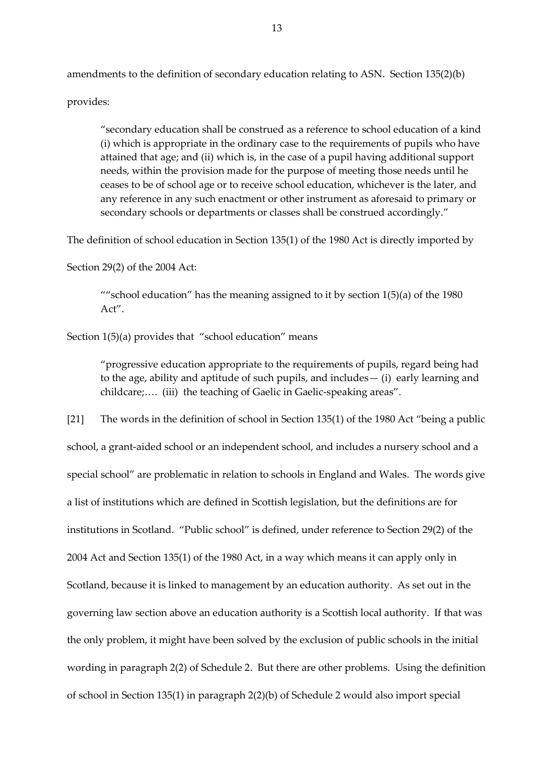amendments to the definition of secondary education relating to ASN. Section 135(2)(b)

provides:

"secondary education shall be construed as a reference to school education of a kind (i) which is appropriate in the ordinary case to the requirements of pupils who have attained that age; and (ii) which is, in the case of a pupil having additional support needs, within the provision made for the purpose of meeting those needs until he ceases to be of school age or to receive school education, whichever is the later, and any reference in any such enactment or other instrument as aforesaid to primary or secondary schools or departments or classes shall be construed accordingly."

The definition of school education in Section 135(1) of the 1980 Act is directly imported by

Section 29(2) of the 2004 Act:

""school education" has the meaning assigned to it by section  $1(5)(a)$  of the 1980 Act".

Section 1(5)(a) provides that "school education" means

"progressive education appropriate to the requirements of pupils, regard being had to the age, ability and aptitude of such pupils, and includes— (i) early learning and childcare;…. (iii) the teaching of Gaelic in Gaelic-speaking areas".

[21] The words in the definition of school in Section 135(1) of the 1980 Act "being a public school, a grant-aided school or an independent school, and includes a nursery school and a special school" are problematic in relation to schools in England and Wales. The words give a list of institutions which are defined in Scottish legislation, but the definitions are for institutions in Scotland. "Public school" is defined, under reference to Section 29(2) of the 2004 Act and Section 135(1) of the 1980 Act, in a way which means it can apply only in Scotland, because it is linked to management by an education authority. As set out in the governing law section above an education authority is a Scottish local authority. If that was the only problem, it might have been solved by the exclusion of public schools in the initial wording in paragraph 2(2) of Schedule 2. But there are other problems. Using the definition of school in Section 135(1) in paragraph 2(2)(b) of Schedule 2 would also import special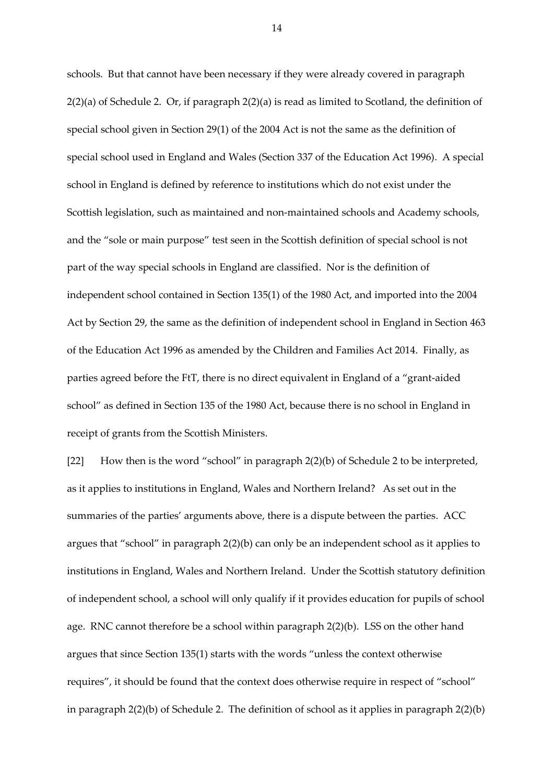schools. But that cannot have been necessary if they were already covered in paragraph 2(2)(a) of Schedule 2. Or, if paragraph 2(2)(a) is read as limited to Scotland, the definition of special school given in Section 29(1) of the 2004 Act is not the same as the definition of special school used in England and Wales (Section 337 of the Education Act 1996). A special school in England is defined by reference to institutions which do not exist under the Scottish legislation, such as maintained and non-maintained schools and Academy schools, and the "sole or main purpose" test seen in the Scottish definition of special school is not part of the way special schools in England are classified. Nor is the definition of independent school contained in Section 135(1) of the 1980 Act, and imported into the 2004 Act by Section 29, the same as the definition of independent school in England in Section 463 of the Education Act 1996 as amended by the Children and Families Act 2014. Finally, as parties agreed before the FtT, there is no direct equivalent in England of a "grant-aided school" as defined in Section 135 of the 1980 Act, because there is no school in England in receipt of grants from the Scottish Ministers.

[22] How then is the word "school" in paragraph 2(2)(b) of Schedule 2 to be interpreted, as it applies to institutions in England, Wales and Northern Ireland? As set out in the summaries of the parties' arguments above, there is a dispute between the parties. ACC argues that "school" in paragraph 2(2)(b) can only be an independent school as it applies to institutions in England, Wales and Northern Ireland. Under the Scottish statutory definition of independent school, a school will only qualify if it provides education for pupils of school age. RNC cannot therefore be a school within paragraph 2(2)(b). LSS on the other hand argues that since Section 135(1) starts with the words "unless the context otherwise requires", it should be found that the context does otherwise require in respect of "school" in paragraph 2(2)(b) of Schedule 2. The definition of school as it applies in paragraph 2(2)(b)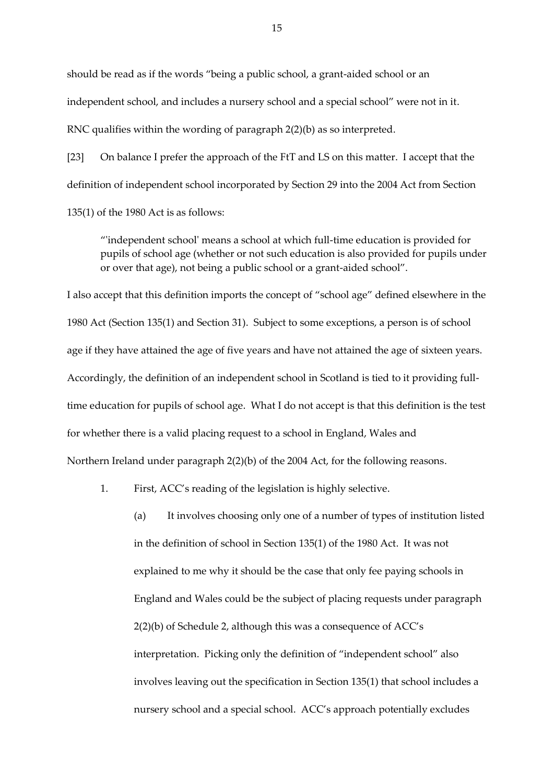should be read as if the words "being a public school, a grant-aided school or an independent school, and includes a nursery school and a special school" were not in it. RNC qualifies within the wording of paragraph 2(2)(b) as so interpreted.

[23] On balance I prefer the approach of the FtT and LS on this matter. I accept that the definition of independent school incorporated by Section 29 into the 2004 Act from Section 135(1) of the 1980 Act is as follows:

"'independent school' means a school at which full-time education is provided for pupils of school age (whether or not such education is also provided for pupils under or over that age), not being a public school or a grant-aided school".

I also accept that this definition imports the concept of "school age" defined elsewhere in the 1980 Act (Section 135(1) and Section 31). Subject to some exceptions, a person is of school age if they have attained the age of five years and have not attained the age of sixteen years. Accordingly, the definition of an independent school in Scotland is tied to it providing fulltime education for pupils of school age. What I do not accept is that this definition is the test for whether there is a valid placing request to a school in England, Wales and Northern Ireland under paragraph 2(2)(b) of the 2004 Act, for the following reasons.

1. First, ACC's reading of the legislation is highly selective.

(a) It involves choosing only one of a number of types of institution listed in the definition of school in Section 135(1) of the 1980 Act. It was not explained to me why it should be the case that only fee paying schools in England and Wales could be the subject of placing requests under paragraph 2(2)(b) of Schedule 2, although this was a consequence of ACC's interpretation. Picking only the definition of "independent school" also involves leaving out the specification in Section 135(1) that school includes a nursery school and a special school. ACC's approach potentially excludes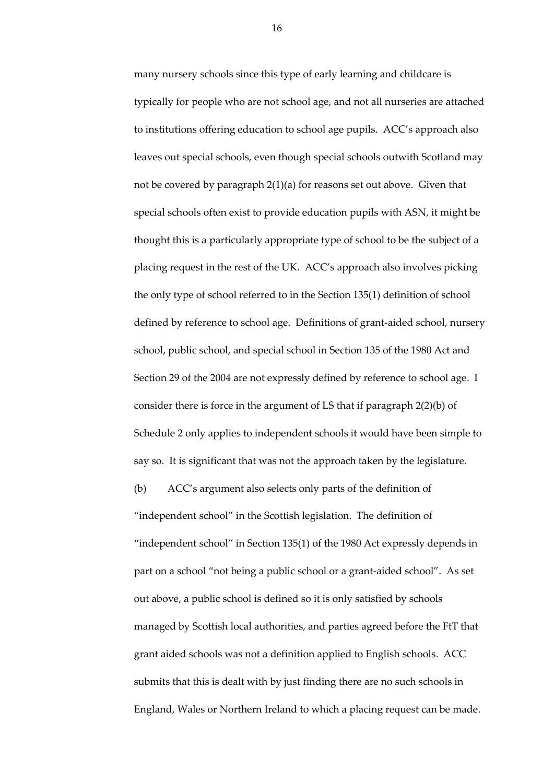many nursery schools since this type of early learning and childcare is typically for people who are not school age, and not all nurseries are attached to institutions offering education to school age pupils. ACC's approach also leaves out special schools, even though special schools outwith Scotland may not be covered by paragraph 2(1)(a) for reasons set out above. Given that special schools often exist to provide education pupils with ASN, it might be thought this is a particularly appropriate type of school to be the subject of a placing request in the rest of the UK. ACC's approach also involves picking the only type of school referred to in the Section 135(1) definition of school defined by reference to school age. Definitions of grant-aided school, nursery school, public school, and special school in Section 135 of the 1980 Act and Section 29 of the 2004 are not expressly defined by reference to school age. I consider there is force in the argument of LS that if paragraph 2(2)(b) of Schedule 2 only applies to independent schools it would have been simple to say so. It is significant that was not the approach taken by the legislature. (b) ACC's argument also selects only parts of the definition of "independent school" in the Scottish legislation. The definition of "independent school" in Section 135(1) of the 1980 Act expressly depends in part on a school "not being a public school or a grant-aided school". As set out above, a public school is defined so it is only satisfied by schools managed by Scottish local authorities, and parties agreed before the FtT that

grant aided schools was not a definition applied to English schools. ACC submits that this is dealt with by just finding there are no such schools in England, Wales or Northern Ireland to which a placing request can be made.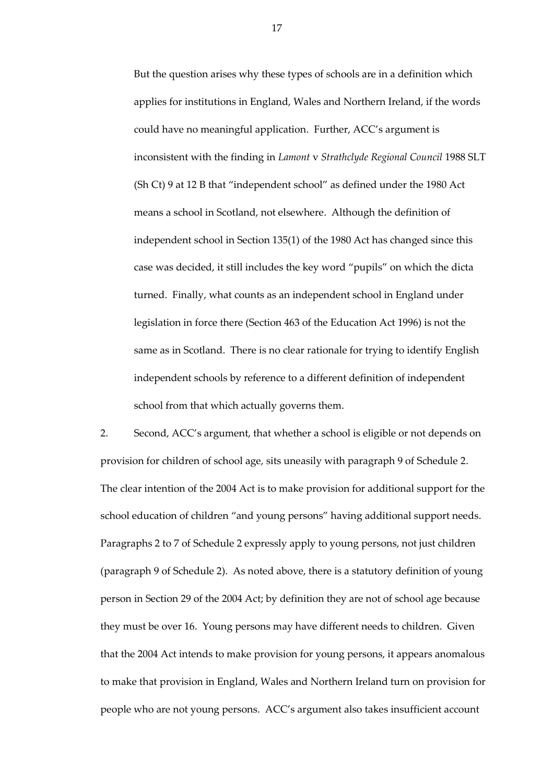But the question arises why these types of schools are in a definition which applies for institutions in England, Wales and Northern Ireland, if the words could have no meaningful application. Further, ACC's argument is inconsistent with the finding in *Lamont* v *Strathclyde Regional Council* 1988 SLT (Sh Ct) 9 at 12 B that "independent school" as defined under the 1980 Act means a school in Scotland, not elsewhere. Although the definition of independent school in Section 135(1) of the 1980 Act has changed since this case was decided, it still includes the key word "pupils" on which the dicta turned. Finally, what counts as an independent school in England under legislation in force there (Section 463 of the Education Act 1996) is not the same as in Scotland. There is no clear rationale for trying to identify English independent schools by reference to a different definition of independent school from that which actually governs them.

2. Second, ACC's argument, that whether a school is eligible or not depends on provision for children of school age, sits uneasily with paragraph 9 of Schedule 2. The clear intention of the 2004 Act is to make provision for additional support for the school education of children "and young persons" having additional support needs. Paragraphs 2 to 7 of Schedule 2 expressly apply to young persons, not just children (paragraph 9 of Schedule 2). As noted above, there is a statutory definition of young person in Section 29 of the 2004 Act; by definition they are not of school age because they must be over 16. Young persons may have different needs to children. Given that the 2004 Act intends to make provision for young persons, it appears anomalous to make that provision in England, Wales and Northern Ireland turn on provision for people who are not young persons. ACC's argument also takes insufficient account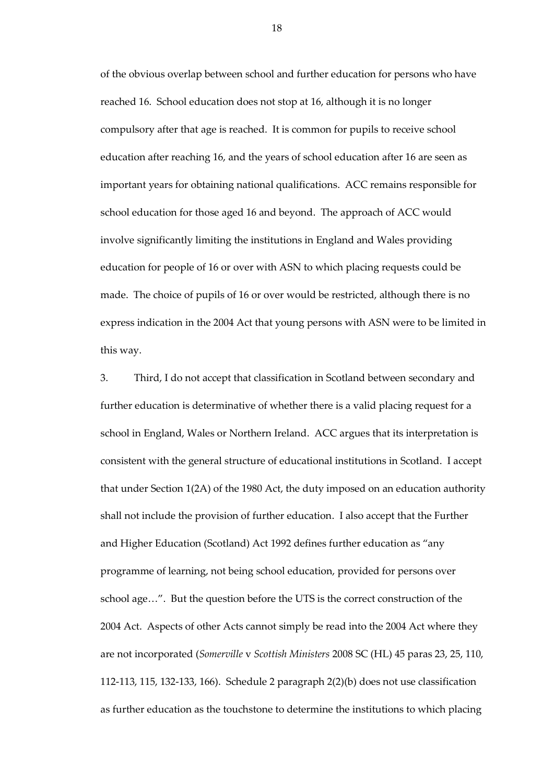of the obvious overlap between school and further education for persons who have reached 16. School education does not stop at 16, although it is no longer compulsory after that age is reached. It is common for pupils to receive school education after reaching 16, and the years of school education after 16 are seen as important years for obtaining national qualifications. ACC remains responsible for school education for those aged 16 and beyond. The approach of ACC would involve significantly limiting the institutions in England and Wales providing education for people of 16 or over with ASN to which placing requests could be made. The choice of pupils of 16 or over would be restricted, although there is no express indication in the 2004 Act that young persons with ASN were to be limited in this way.

3. Third, I do not accept that classification in Scotland between secondary and further education is determinative of whether there is a valid placing request for a school in England, Wales or Northern Ireland. ACC argues that its interpretation is consistent with the general structure of educational institutions in Scotland. I accept that under Section 1(2A) of the 1980 Act, the duty imposed on an education authority shall not include the provision of further education. I also accept that the Further and Higher Education (Scotland) Act 1992 defines further education as "any programme of learning, not being school education, provided for persons over school age…". But the question before the UTS is the correct construction of the 2004 Act. Aspects of other Acts cannot simply be read into the 2004 Act where they are not incorporated (*Somerville* v *Scottish Ministers* 2008 SC (HL) 45 paras 23, 25, 110, 112-113, 115, 132-133, 166). Schedule 2 paragraph 2(2)(b) does not use classification as further education as the touchstone to determine the institutions to which placing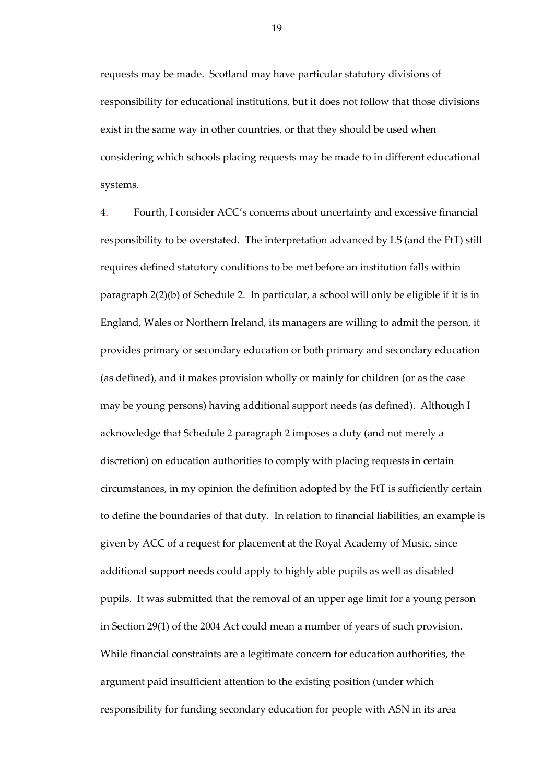requests may be made. Scotland may have particular statutory divisions of responsibility for educational institutions, but it does not follow that those divisions exist in the same way in other countries, or that they should be used when considering which schools placing requests may be made to in different educational systems.

4. Fourth, I consider ACC's concerns about uncertainty and excessive financial responsibility to be overstated. The interpretation advanced by LS (and the FtT) still requires defined statutory conditions to be met before an institution falls within paragraph 2(2)(b) of Schedule 2. In particular, a school will only be eligible if it is in England, Wales or Northern Ireland, its managers are willing to admit the person, it provides primary or secondary education or both primary and secondary education (as defined), and it makes provision wholly or mainly for children (or as the case may be young persons) having additional support needs (as defined). Although I acknowledge that Schedule 2 paragraph 2 imposes a duty (and not merely a discretion) on education authorities to comply with placing requests in certain circumstances, in my opinion the definition adopted by the FtT is sufficiently certain to define the boundaries of that duty. In relation to financial liabilities, an example is given by ACC of a request for placement at the Royal Academy of Music, since additional support needs could apply to highly able pupils as well as disabled pupils. It was submitted that the removal of an upper age limit for a young person in Section 29(1) of the 2004 Act could mean a number of years of such provision. While financial constraints are a legitimate concern for education authorities, the argument paid insufficient attention to the existing position (under which responsibility for funding secondary education for people with ASN in its area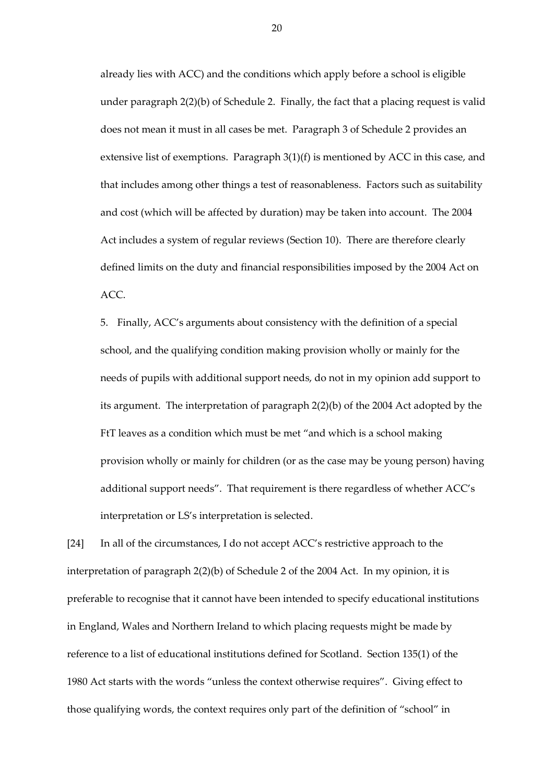already lies with ACC) and the conditions which apply before a school is eligible under paragraph 2(2)(b) of Schedule 2. Finally, the fact that a placing request is valid does not mean it must in all cases be met. Paragraph 3 of Schedule 2 provides an extensive list of exemptions. Paragraph 3(1)(f) is mentioned by ACC in this case, and that includes among other things a test of reasonableness. Factors such as suitability and cost (which will be affected by duration) may be taken into account. The 2004 Act includes a system of regular reviews (Section 10). There are therefore clearly defined limits on the duty and financial responsibilities imposed by the 2004 Act on ACC.

5. Finally, ACC's arguments about consistency with the definition of a special school, and the qualifying condition making provision wholly or mainly for the needs of pupils with additional support needs, do not in my opinion add support to its argument. The interpretation of paragraph 2(2)(b) of the 2004 Act adopted by the FtT leaves as a condition which must be met "and which is a school making provision wholly or mainly for children (or as the case may be young person) having additional support needs". That requirement is there regardless of whether ACC's interpretation or LS's interpretation is selected.

[24] In all of the circumstances, I do not accept ACC's restrictive approach to the interpretation of paragraph 2(2)(b) of Schedule 2 of the 2004 Act. In my opinion, it is preferable to recognise that it cannot have been intended to specify educational institutions in England, Wales and Northern Ireland to which placing requests might be made by reference to a list of educational institutions defined for Scotland. Section 135(1) of the 1980 Act starts with the words "unless the context otherwise requires". Giving effect to those qualifying words, the context requires only part of the definition of "school" in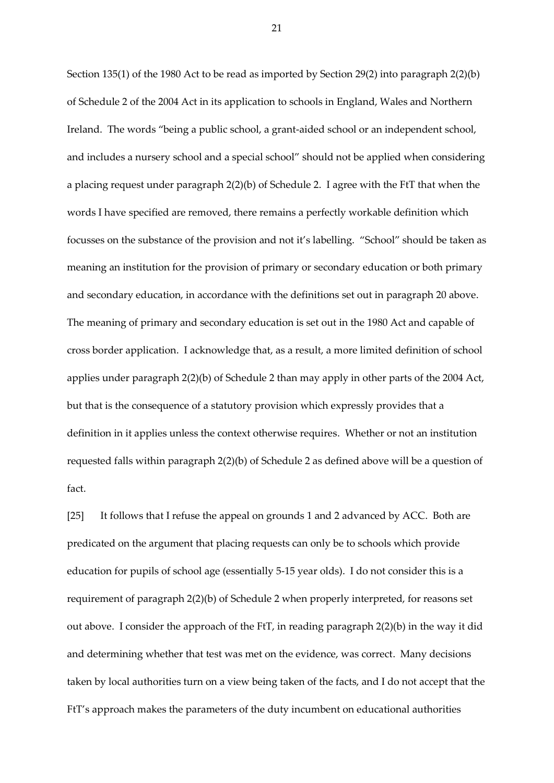Section 135(1) of the 1980 Act to be read as imported by Section 29(2) into paragraph 2(2)(b) of Schedule 2 of the 2004 Act in its application to schools in England, Wales and Northern Ireland. The words "being a public school, a grant-aided school or an independent school, and includes a nursery school and a special school" should not be applied when considering a placing request under paragraph 2(2)(b) of Schedule 2. I agree with the FtT that when the words I have specified are removed, there remains a perfectly workable definition which focusses on the substance of the provision and not it's labelling. "School" should be taken as meaning an institution for the provision of primary or secondary education or both primary and secondary education, in accordance with the definitions set out in paragraph 20 above. The meaning of primary and secondary education is set out in the 1980 Act and capable of cross border application. I acknowledge that, as a result, a more limited definition of school applies under paragraph 2(2)(b) of Schedule 2 than may apply in other parts of the 2004 Act, but that is the consequence of a statutory provision which expressly provides that a definition in it applies unless the context otherwise requires. Whether or not an institution requested falls within paragraph 2(2)(b) of Schedule 2 as defined above will be a question of fact.

[25] It follows that I refuse the appeal on grounds 1 and 2 advanced by ACC. Both are predicated on the argument that placing requests can only be to schools which provide education for pupils of school age (essentially 5-15 year olds). I do not consider this is a requirement of paragraph 2(2)(b) of Schedule 2 when properly interpreted, for reasons set out above. I consider the approach of the FtT, in reading paragraph 2(2)(b) in the way it did and determining whether that test was met on the evidence, was correct. Many decisions taken by local authorities turn on a view being taken of the facts, and I do not accept that the FtT's approach makes the parameters of the duty incumbent on educational authorities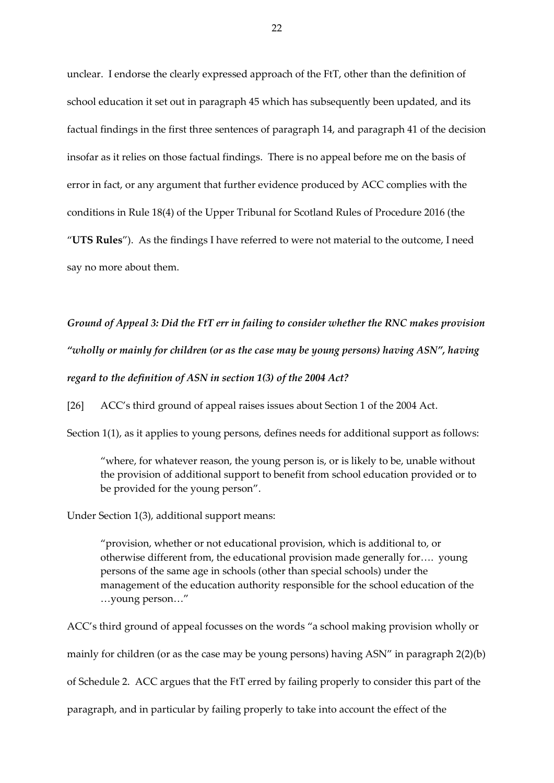unclear. I endorse the clearly expressed approach of the FtT, other than the definition of school education it set out in paragraph 45 which has subsequently been updated, and its factual findings in the first three sentences of paragraph 14, and paragraph 41 of the decision insofar as it relies on those factual findings. There is no appeal before me on the basis of error in fact, or any argument that further evidence produced by ACC complies with the conditions in Rule 18(4) of the Upper Tribunal for Scotland Rules of Procedure 2016 (the "**UTS Rules**"). As the findings I have referred to were not material to the outcome, I need say no more about them.

*Ground of Appeal 3: Did the FtT err in failing to consider whether the RNC makes provision "wholly or mainly for children (or as the case may be young persons) having ASN", having regard to the definition of ASN in section 1(3) of the 2004 Act?*

[26] ACC's third ground of appeal raises issues about Section 1 of the 2004 Act.

Section 1(1), as it applies to young persons, defines needs for additional support as follows:

"where, for whatever reason, the young person is, or is likely to be, unable without the provision of additional support to benefit from school education provided or to be provided for the young person".

Under Section 1(3), additional support means:

"provision, whether or not educational provision, which is additional to, or otherwise different from, the educational provision made generally for…. young persons of the same age in schools (other than special schools) under the management of the education authority responsible for the school education of the …young person…"

ACC's third ground of appeal focusses on the words "a school making provision wholly or mainly for children (or as the case may be young persons) having ASN" in paragraph 2(2)(b) of Schedule 2. ACC argues that the FtT erred by failing properly to consider this part of the paragraph, and in particular by failing properly to take into account the effect of the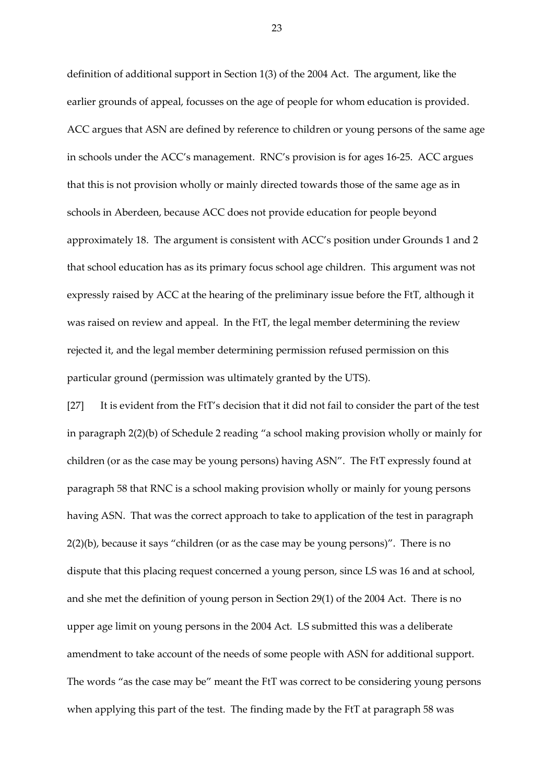definition of additional support in Section 1(3) of the 2004 Act. The argument, like the earlier grounds of appeal, focusses on the age of people for whom education is provided. ACC argues that ASN are defined by reference to children or young persons of the same age in schools under the ACC's management. RNC's provision is for ages 16-25. ACC argues that this is not provision wholly or mainly directed towards those of the same age as in schools in Aberdeen, because ACC does not provide education for people beyond approximately 18. The argument is consistent with ACC's position under Grounds 1 and 2 that school education has as its primary focus school age children. This argument was not expressly raised by ACC at the hearing of the preliminary issue before the FtT, although it was raised on review and appeal. In the FtT, the legal member determining the review rejected it, and the legal member determining permission refused permission on this particular ground (permission was ultimately granted by the UTS).

[27] It is evident from the FtT's decision that it did not fail to consider the part of the test in paragraph 2(2)(b) of Schedule 2 reading "a school making provision wholly or mainly for children (or as the case may be young persons) having ASN". The FtT expressly found at paragraph 58 that RNC is a school making provision wholly or mainly for young persons having ASN. That was the correct approach to take to application of the test in paragraph 2(2)(b), because it says "children (or as the case may be young persons)". There is no dispute that this placing request concerned a young person, since LS was 16 and at school, and she met the definition of young person in Section 29(1) of the 2004 Act. There is no upper age limit on young persons in the 2004 Act. LS submitted this was a deliberate amendment to take account of the needs of some people with ASN for additional support. The words "as the case may be" meant the FtT was correct to be considering young persons when applying this part of the test. The finding made by the FtT at paragraph 58 was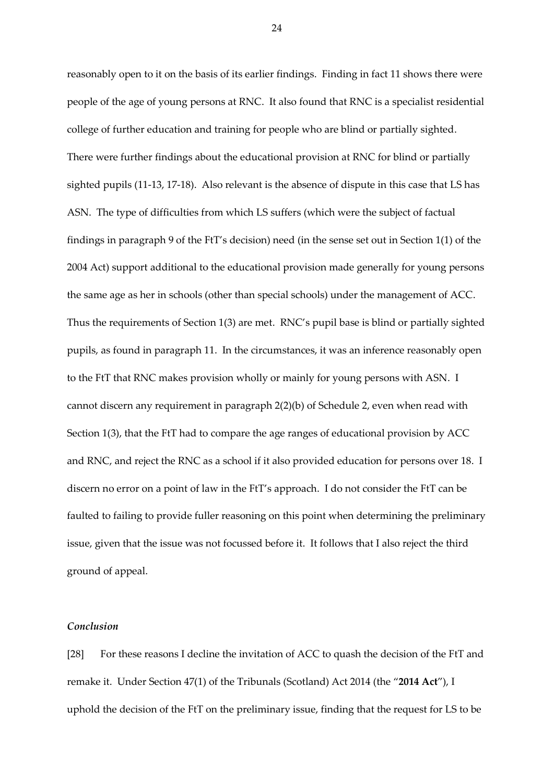reasonably open to it on the basis of its earlier findings. Finding in fact 11 shows there were people of the age of young persons at RNC. It also found that RNC is a specialist residential college of further education and training for people who are blind or partially sighted. There were further findings about the educational provision at RNC for blind or partially sighted pupils (11-13, 17-18). Also relevant is the absence of dispute in this case that LS has ASN. The type of difficulties from which LS suffers (which were the subject of factual findings in paragraph 9 of the FtT's decision) need (in the sense set out in Section 1(1) of the 2004 Act) support additional to the educational provision made generally for young persons the same age as her in schools (other than special schools) under the management of ACC. Thus the requirements of Section 1(3) are met. RNC's pupil base is blind or partially sighted pupils, as found in paragraph 11. In the circumstances, it was an inference reasonably open to the FtT that RNC makes provision wholly or mainly for young persons with ASN. I cannot discern any requirement in paragraph 2(2)(b) of Schedule 2, even when read with Section 1(3), that the FtT had to compare the age ranges of educational provision by ACC and RNC, and reject the RNC as a school if it also provided education for persons over 18. I discern no error on a point of law in the FtT's approach. I do not consider the FtT can be faulted to failing to provide fuller reasoning on this point when determining the preliminary issue, given that the issue was not focussed before it. It follows that I also reject the third ground of appeal.

# *Conclusion*

[28] For these reasons I decline the invitation of ACC to quash the decision of the FtT and remake it. Under Section 47(1) of the Tribunals (Scotland) Act 2014 (the "**2014 Act**"), I uphold the decision of the FtT on the preliminary issue, finding that the request for LS to be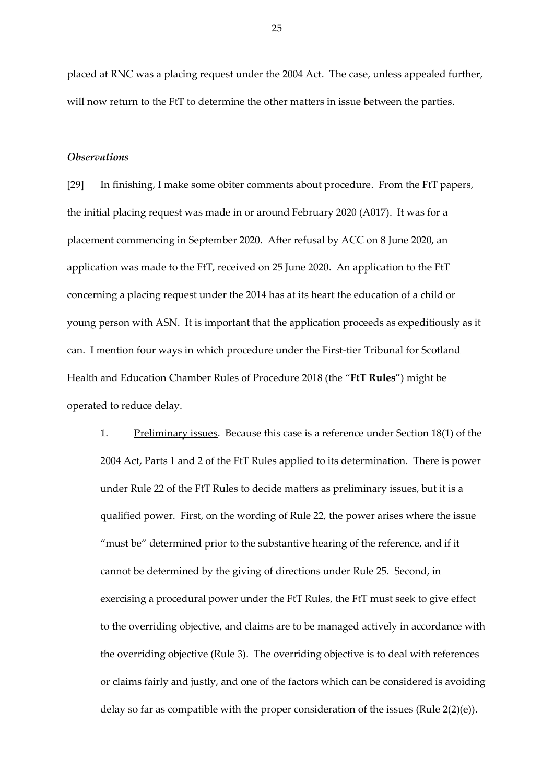placed at RNC was a placing request under the 2004 Act. The case, unless appealed further, will now return to the FtT to determine the other matters in issue between the parties.

#### *Observations*

[29] In finishing, I make some obiter comments about procedure. From the FtT papers, the initial placing request was made in or around February 2020 (A017). It was for a placement commencing in September 2020. After refusal by ACC on 8 June 2020, an application was made to the FtT, received on 25 June 2020. An application to the FtT concerning a placing request under the 2014 has at its heart the education of a child or young person with ASN. It is important that the application proceeds as expeditiously as it can. I mention four ways in which procedure under the First-tier Tribunal for Scotland Health and Education Chamber Rules of Procedure 2018 (the "**FtT Rules**") might be operated to reduce delay.

1. Preliminary issues. Because this case is a reference under Section 18(1) of the 2004 Act, Parts 1 and 2 of the FtT Rules applied to its determination. There is power under Rule 22 of the FtT Rules to decide matters as preliminary issues, but it is a qualified power. First, on the wording of Rule 22, the power arises where the issue "must be" determined prior to the substantive hearing of the reference, and if it cannot be determined by the giving of directions under Rule 25. Second, in exercising a procedural power under the FtT Rules, the FtT must seek to give effect to the overriding objective, and claims are to be managed actively in accordance with the overriding objective (Rule 3). The overriding objective is to deal with references or claims fairly and justly, and one of the factors which can be considered is avoiding delay so far as compatible with the proper consideration of the issues (Rule 2(2)(e)).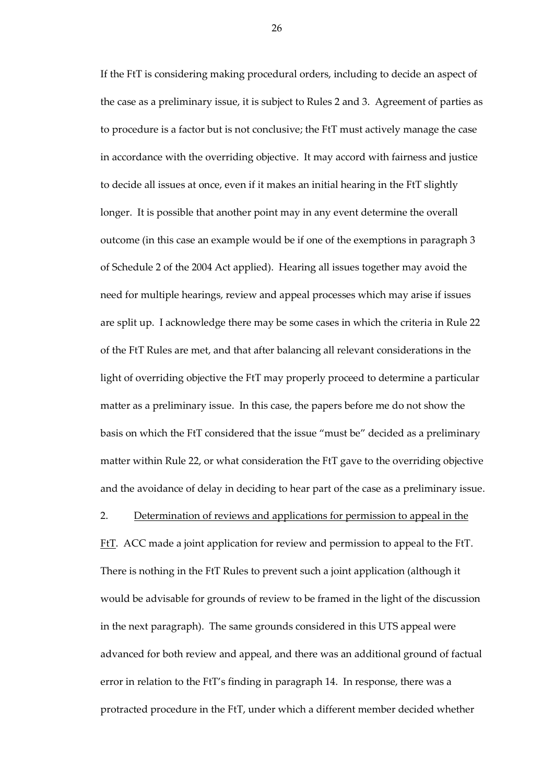If the FtT is considering making procedural orders, including to decide an aspect of the case as a preliminary issue, it is subject to Rules 2 and 3. Agreement of parties as to procedure is a factor but is not conclusive; the FtT must actively manage the case in accordance with the overriding objective. It may accord with fairness and justice to decide all issues at once, even if it makes an initial hearing in the FtT slightly longer. It is possible that another point may in any event determine the overall outcome (in this case an example would be if one of the exemptions in paragraph 3 of Schedule 2 of the 2004 Act applied). Hearing all issues together may avoid the need for multiple hearings, review and appeal processes which may arise if issues are split up. I acknowledge there may be some cases in which the criteria in Rule 22 of the FtT Rules are met, and that after balancing all relevant considerations in the light of overriding objective the FtT may properly proceed to determine a particular matter as a preliminary issue. In this case, the papers before me do not show the basis on which the FtT considered that the issue "must be" decided as a preliminary matter within Rule 22, or what consideration the FtT gave to the overriding objective and the avoidance of delay in deciding to hear part of the case as a preliminary issue.

## 2. Determination of reviews and applications for permission to appeal in the

FtT. ACC made a joint application for review and permission to appeal to the FtT. There is nothing in the FtT Rules to prevent such a joint application (although it would be advisable for grounds of review to be framed in the light of the discussion in the next paragraph). The same grounds considered in this UTS appeal were advanced for both review and appeal, and there was an additional ground of factual error in relation to the FtT's finding in paragraph 14. In response, there was a protracted procedure in the FtT, under which a different member decided whether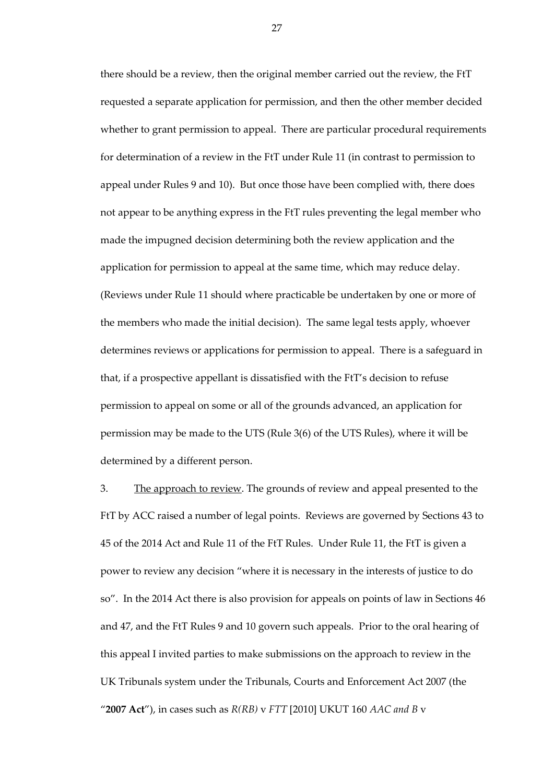there should be a review, then the original member carried out the review, the FtT requested a separate application for permission, and then the other member decided whether to grant permission to appeal. There are particular procedural requirements for determination of a review in the FtT under Rule 11 (in contrast to permission to appeal under Rules 9 and 10). But once those have been complied with, there does not appear to be anything express in the FtT rules preventing the legal member who made the impugned decision determining both the review application and the application for permission to appeal at the same time, which may reduce delay. (Reviews under Rule 11 should where practicable be undertaken by one or more of the members who made the initial decision). The same legal tests apply, whoever determines reviews or applications for permission to appeal. There is a safeguard in that, if a prospective appellant is dissatisfied with the FtT's decision to refuse permission to appeal on some or all of the grounds advanced, an application for permission may be made to the UTS (Rule 3(6) of the UTS Rules), where it will be determined by a different person.

3. The approach to review. The grounds of review and appeal presented to the FtT by ACC raised a number of legal points. Reviews are governed by Sections 43 to 45 of the 2014 Act and Rule 11 of the FtT Rules. Under Rule 11, the FtT is given a power to review any decision "where it is necessary in the interests of justice to do so". In the 2014 Act there is also provision for appeals on points of law in Sections 46 and 47, and the FtT Rules 9 and 10 govern such appeals. Prior to the oral hearing of this appeal I invited parties to make submissions on the approach to review in the UK Tribunals system under the Tribunals, Courts and Enforcement Act 2007 (the "**2007 Act**"), in cases such as *R(RB)* v *FTT* [2010] UKUT 160 *AAC and B* v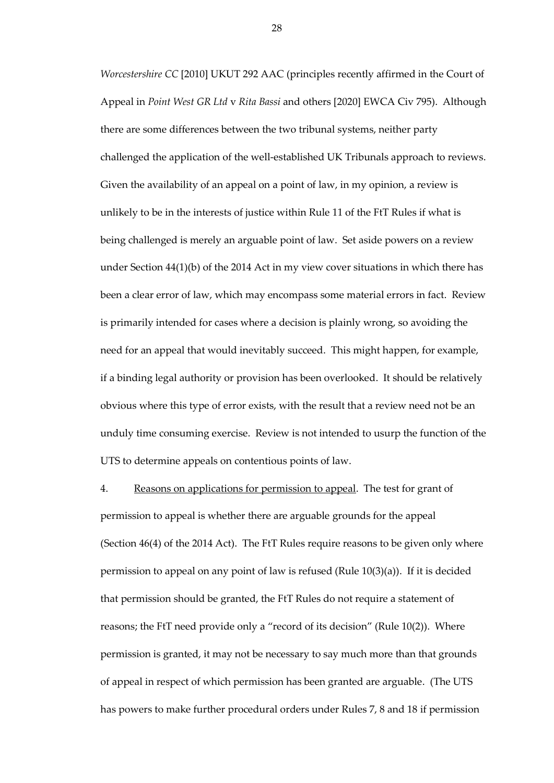*Worcestershire CC* [2010] UKUT 292 AAC (principles recently affirmed in the Court of Appeal in *Point West GR Ltd* v *Rita Bassi* and others [2020] EWCA Civ 795). Although there are some differences between the two tribunal systems, neither party challenged the application of the well-established UK Tribunals approach to reviews. Given the availability of an appeal on a point of law, in my opinion, a review is unlikely to be in the interests of justice within Rule 11 of the FtT Rules if what is being challenged is merely an arguable point of law. Set aside powers on a review under Section 44(1)(b) of the 2014 Act in my view cover situations in which there has been a clear error of law, which may encompass some material errors in fact. Review is primarily intended for cases where a decision is plainly wrong, so avoiding the need for an appeal that would inevitably succeed. This might happen, for example, if a binding legal authority or provision has been overlooked. It should be relatively obvious where this type of error exists, with the result that a review need not be an unduly time consuming exercise. Review is not intended to usurp the function of the UTS to determine appeals on contentious points of law.

4. Reasons on applications for permission to appeal. The test for grant of permission to appeal is whether there are arguable grounds for the appeal (Section 46(4) of the 2014 Act). The FtT Rules require reasons to be given only where permission to appeal on any point of law is refused (Rule 10(3)(a)). If it is decided that permission should be granted, the FtT Rules do not require a statement of reasons; the FtT need provide only a "record of its decision" (Rule 10(2)). Where permission is granted, it may not be necessary to say much more than that grounds of appeal in respect of which permission has been granted are arguable. (The UTS has powers to make further procedural orders under Rules 7, 8 and 18 if permission